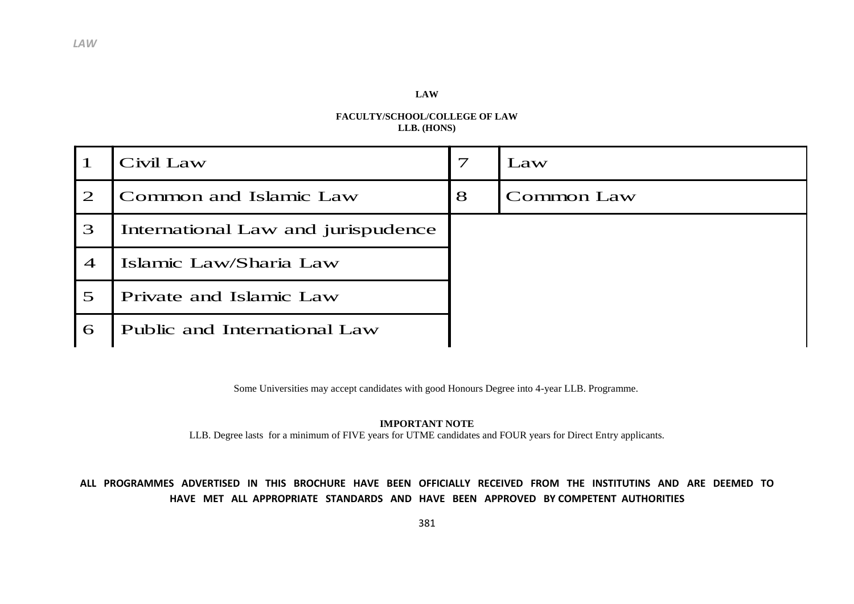## **LAW**

## **FACULTY/SCHOOL/COLLEGE OF LAW LLB. (HONS)**

|                            | Civil Law                          | $\tau$ | Law               |
|----------------------------|------------------------------------|--------|-------------------|
| $\bigcirc$                 | Common and Islamic Law             | 8      | <b>Common Law</b> |
| 3                          | International Law and jurispudence |        |                   |
| $\boldsymbol{\mathcal{A}}$ | Islamic Law/Sharia Law             |        |                   |
| $\overline{5}$             | Private and Islamic Law            |        |                   |
| 6                          | Public and International Law       |        |                   |

Some Universities may accept candidates with good Honours Degree into 4-year LLB. Programme.

## **IMPORTANT NOTE**

LLB. Degree lasts for a minimum of FIVE years for UTME candidates and FOUR years for Direct Entry applicants.

## **ALL PROGRAMMES ADVERTISED IN THIS BROCHURE HAVE BEEN OFFICIALLY RECEIVED FROM THE INSTITUTINS AND ARE DEEMED TO HAVE MET ALL APPROPRIATE STANDARDS AND HAVE BEEN APPROVED BY COMPETENT AUTHORITIES**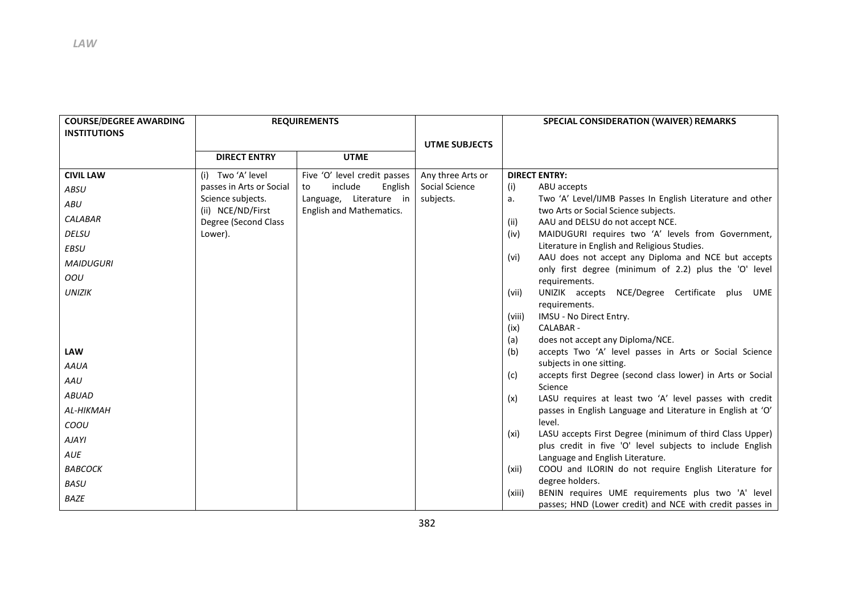| <b>COURSE/DEGREE AWARDING</b><br><b>INSTITUTIONS</b> | <b>REQUIREMENTS</b>                    |                                                     |                      | SPECIAL CONSIDERATION (WAIVER) REMARKS                                                                                        |  |
|------------------------------------------------------|----------------------------------------|-----------------------------------------------------|----------------------|-------------------------------------------------------------------------------------------------------------------------------|--|
|                                                      |                                        |                                                     | <b>UTME SUBJECTS</b> |                                                                                                                               |  |
|                                                      | <b>DIRECT ENTRY</b>                    | <b>UTME</b>                                         |                      |                                                                                                                               |  |
| <b>CIVIL LAW</b>                                     | (i) Two 'A' level                      | Five 'O' level credit passes                        | Any three Arts or    | <b>DIRECT ENTRY:</b>                                                                                                          |  |
| ABSU                                                 | passes in Arts or Social               | include<br>English<br>to                            | Social Science       | (i)<br>ABU accepts                                                                                                            |  |
| ABU                                                  | Science subjects.<br>(ii) NCE/ND/First | Language, Literature in<br>English and Mathematics. | subjects.            | Two 'A' Level/IJMB Passes In English Literature and other<br>a.<br>two Arts or Social Science subjects.                       |  |
| CALABAR                                              | Degree (Second Class                   |                                                     |                      | AAU and DELSU do not accept NCE.<br>(ii)                                                                                      |  |
| <b>DELSU</b>                                         | Lower).                                |                                                     |                      | MAIDUGURI requires two 'A' levels from Government,<br>(iv)                                                                    |  |
| EBSU                                                 |                                        |                                                     |                      | Literature in English and Religious Studies.                                                                                  |  |
| <b>MAIDUGURI</b>                                     |                                        |                                                     |                      | AAU does not accept any Diploma and NCE but accepts<br>(vi)                                                                   |  |
| OOU                                                  |                                        |                                                     |                      | only first degree (minimum of 2.2) plus the 'O' level<br>requirements.                                                        |  |
| <b>UNIZIK</b>                                        |                                        |                                                     |                      | UNIZIK accepts NCE/Degree Certificate plus UME<br>(vii)                                                                       |  |
|                                                      |                                        |                                                     |                      | requirements.                                                                                                                 |  |
|                                                      |                                        |                                                     |                      | IMSU - No Direct Entry.<br>(viii)                                                                                             |  |
|                                                      |                                        |                                                     |                      | CALABAR -<br>(ix)                                                                                                             |  |
|                                                      |                                        |                                                     |                      | does not accept any Diploma/NCE.<br>(a)                                                                                       |  |
| <b>LAW</b>                                           |                                        |                                                     |                      | (b)<br>accepts Two 'A' level passes in Arts or Social Science                                                                 |  |
| AAUA                                                 |                                        |                                                     |                      | subjects in one sitting.<br>accepts first Degree (second class lower) in Arts or Social                                       |  |
| AAU                                                  |                                        |                                                     |                      | (c)<br>Science                                                                                                                |  |
| <b>ABUAD</b>                                         |                                        |                                                     |                      | LASU requires at least two 'A' level passes with credit<br>(x)                                                                |  |
| AL-HIKMAH                                            |                                        |                                                     |                      | passes in English Language and Literature in English at 'O'                                                                   |  |
| COOU                                                 |                                        |                                                     |                      | level.                                                                                                                        |  |
| AJAYI                                                |                                        |                                                     |                      | LASU accepts First Degree (minimum of third Class Upper)<br>(xi)<br>plus credit in five 'O' level subjects to include English |  |
| AUE                                                  |                                        |                                                     |                      | Language and English Literature.                                                                                              |  |
| <b>BABCOCK</b>                                       |                                        |                                                     |                      | COOU and ILORIN do not require English Literature for<br>(xii)                                                                |  |
| BASU                                                 |                                        |                                                     |                      | degree holders.                                                                                                               |  |
| <b>BAZE</b>                                          |                                        |                                                     |                      | BENIN requires UME requirements plus two 'A' level<br>(xiii)<br>passes; HND (Lower credit) and NCE with credit passes in      |  |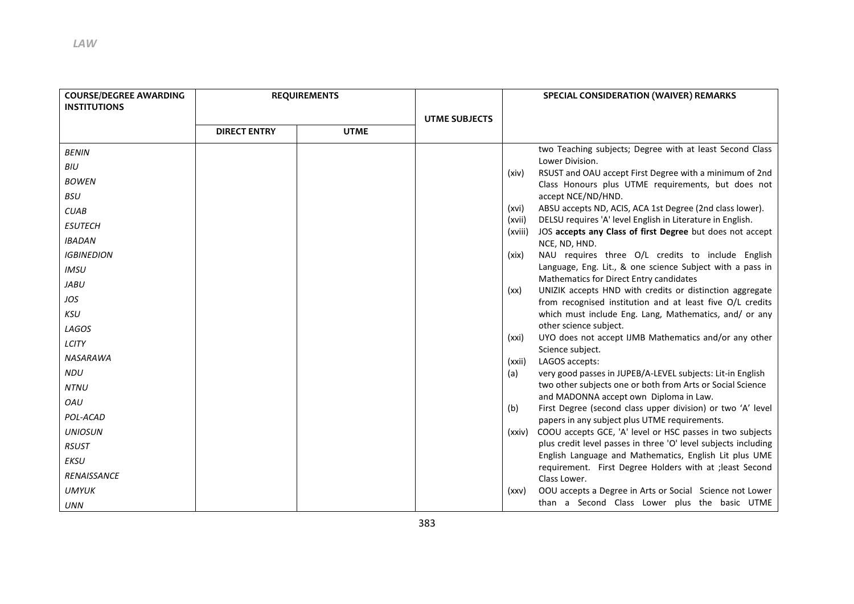| <b>COURSE/DEGREE AWARDING</b><br><b>INSTITUTIONS</b> | <b>REQUIREMENTS</b> |             |                      |         | SPECIAL CONSIDERATION (WAIVER) REMARKS                                                                              |
|------------------------------------------------------|---------------------|-------------|----------------------|---------|---------------------------------------------------------------------------------------------------------------------|
|                                                      | <b>DIRECT ENTRY</b> | <b>UTME</b> | <b>UTME SUBJECTS</b> |         |                                                                                                                     |
| <b>BENIN</b>                                         |                     |             |                      |         | two Teaching subjects; Degree with at least Second Class                                                            |
| BIU                                                  |                     |             |                      |         | Lower Division.<br>RSUST and OAU accept First Degree with a minimum of 2nd                                          |
| <b>BOWEN</b>                                         |                     |             |                      | (xiv)   | Class Honours plus UTME requirements, but does not                                                                  |
| <b>BSU</b>                                           |                     |             |                      |         | accept NCE/ND/HND.                                                                                                  |
| <b>CUAB</b>                                          |                     |             |                      | (xvi)   | ABSU accepts ND, ACIS, ACA 1st Degree (2nd class lower).                                                            |
| <b>ESUTECH</b>                                       |                     |             |                      | (xvii)  | DELSU requires 'A' level English in Literature in English.                                                          |
| <b>IBADAN</b>                                        |                     |             |                      | (xviii) | JOS accepts any Class of first Degree but does not accept<br>NCE, ND, HND.                                          |
| <b>IGBINEDION</b>                                    |                     |             |                      | (xix)   | NAU requires three O/L credits to include English                                                                   |
| <b>IMSU</b>                                          |                     |             |                      |         | Language, Eng. Lit., & one science Subject with a pass in                                                           |
| <b>JABU</b>                                          |                     |             |                      |         | Mathematics for Direct Entry candidates                                                                             |
| JOS                                                  |                     |             |                      | (xx)    | UNIZIK accepts HND with credits or distinction aggregate                                                            |
| KSU                                                  |                     |             |                      |         | from recognised institution and at least five O/L credits<br>which must include Eng. Lang, Mathematics, and/ or any |
| LAGOS                                                |                     |             |                      |         | other science subject.                                                                                              |
|                                                      |                     |             |                      | (xxi)   | UYO does not accept IJMB Mathematics and/or any other                                                               |
| LCITY                                                |                     |             |                      |         | Science subject.                                                                                                    |
| <b>NASARAWA</b>                                      |                     |             |                      | (xxii)  | LAGOS accepts:                                                                                                      |
| <b>NDU</b>                                           |                     |             |                      | (a)     | very good passes in JUPEB/A-LEVEL subjects: Lit-in English                                                          |
| <b>NTNU</b>                                          |                     |             |                      |         | two other subjects one or both from Arts or Social Science                                                          |
| OAU                                                  |                     |             |                      | (b)     | and MADONNA accept own Diploma in Law.<br>First Degree (second class upper division) or two 'A' level               |
| POL-ACAD                                             |                     |             |                      |         | papers in any subject plus UTME requirements.                                                                       |
| <b>UNIOSUN</b>                                       |                     |             |                      | (xxiv)  | COOU accepts GCE, 'A' level or HSC passes in two subjects                                                           |
| <b>RSUST</b>                                         |                     |             |                      |         | plus credit level passes in three 'O' level subjects including                                                      |
| <b>EKSU</b>                                          |                     |             |                      |         | English Language and Mathematics, English Lit plus UME                                                              |
| <b>RENAISSANCE</b>                                   |                     |             |                      |         | requirement. First Degree Holders with at ; least Second                                                            |
| <b>UMYUK</b>                                         |                     |             |                      |         | Class Lower.<br>OOU accepts a Degree in Arts or Social Science not Lower                                            |
|                                                      |                     |             |                      | (xxy)   | than a Second Class Lower plus the basic UTME                                                                       |
| <b>UNN</b>                                           |                     |             |                      |         |                                                                                                                     |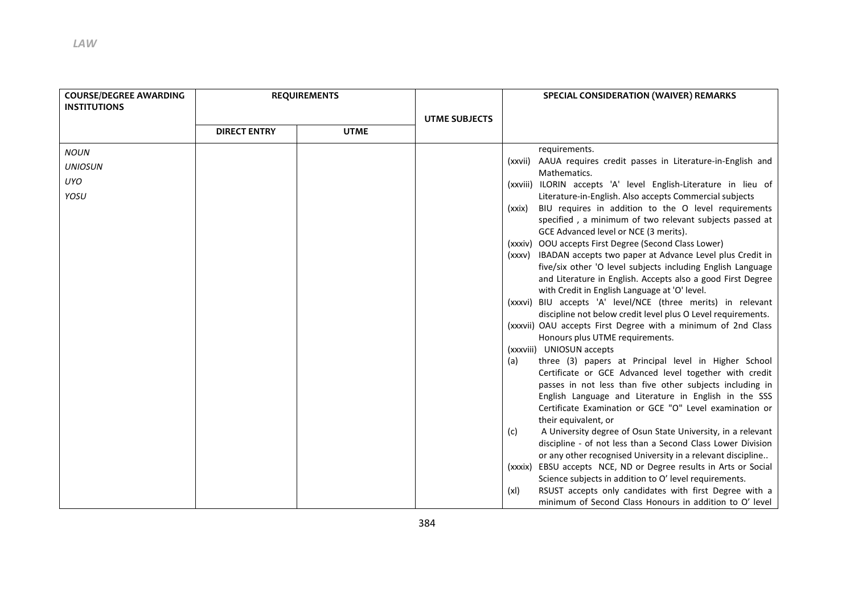| <b>COURSE/DEGREE AWARDING</b><br><b>INSTITUTIONS</b> | <b>REQUIREMENTS</b> |             |                      | <b>SPECIAL CONSIDERATION (WAIVER) REMARKS</b>                                                                                      |  |
|------------------------------------------------------|---------------------|-------------|----------------------|------------------------------------------------------------------------------------------------------------------------------------|--|
|                                                      | <b>DIRECT ENTRY</b> | <b>UTME</b> | <b>UTME SUBJECTS</b> |                                                                                                                                    |  |
| <b>NOUN</b>                                          |                     |             |                      | requirements.                                                                                                                      |  |
| <b>UNIOSUN</b>                                       |                     |             |                      | (xxvii) AAUA requires credit passes in Literature-in-English and<br>Mathematics.                                                   |  |
| UYO                                                  |                     |             |                      | (xxviii) ILORIN accepts 'A' level English-Literature in lieu of                                                                    |  |
| YOSU                                                 |                     |             |                      | Literature-in-English. Also accepts Commercial subjects                                                                            |  |
|                                                      |                     |             |                      | BIU requires in addition to the O level requirements<br>(xxix)                                                                     |  |
|                                                      |                     |             |                      | specified, a minimum of two relevant subjects passed at                                                                            |  |
|                                                      |                     |             |                      | GCE Advanced level or NCE (3 merits).                                                                                              |  |
|                                                      |                     |             |                      | (xxxiv) OOU accepts First Degree (Second Class Lower)                                                                              |  |
|                                                      |                     |             |                      | (xxxv) IBADAN accepts two paper at Advance Level plus Credit in                                                                    |  |
|                                                      |                     |             |                      | five/six other 'O level subjects including English Language                                                                        |  |
|                                                      |                     |             |                      | and Literature in English. Accepts also a good First Degree<br>with Credit in English Language at 'O' level.                       |  |
|                                                      |                     |             |                      | (xxxvi) BIU accepts 'A' level/NCE (three merits) in relevant                                                                       |  |
|                                                      |                     |             |                      | discipline not below credit level plus O Level requirements.                                                                       |  |
|                                                      |                     |             |                      | (xxxvii) OAU accepts First Degree with a minimum of 2nd Class                                                                      |  |
|                                                      |                     |             |                      | Honours plus UTME requirements.                                                                                                    |  |
|                                                      |                     |             |                      | (xxxviii) UNIOSUN accepts                                                                                                          |  |
|                                                      |                     |             |                      | three (3) papers at Principal level in Higher School<br>(a)                                                                        |  |
|                                                      |                     |             |                      | Certificate or GCE Advanced level together with credit                                                                             |  |
|                                                      |                     |             |                      | passes in not less than five other subjects including in                                                                           |  |
|                                                      |                     |             |                      | English Language and Literature in English in the SSS                                                                              |  |
|                                                      |                     |             |                      | Certificate Examination or GCE "O" Level examination or                                                                            |  |
|                                                      |                     |             |                      | their equivalent, or                                                                                                               |  |
|                                                      |                     |             |                      | A University degree of Osun State University, in a relevant<br>(c)                                                                 |  |
|                                                      |                     |             |                      | discipline - of not less than a Second Class Lower Division                                                                        |  |
|                                                      |                     |             |                      | or any other recognised University in a relevant discipline<br>EBSU accepts NCE, ND or Degree results in Arts or Social<br>(xxxix) |  |
|                                                      |                     |             |                      | Science subjects in addition to O' level requirements.                                                                             |  |
|                                                      |                     |             |                      | RSUST accepts only candidates with first Degree with a<br>(xI)                                                                     |  |
|                                                      |                     |             |                      | minimum of Second Class Honours in addition to O' level                                                                            |  |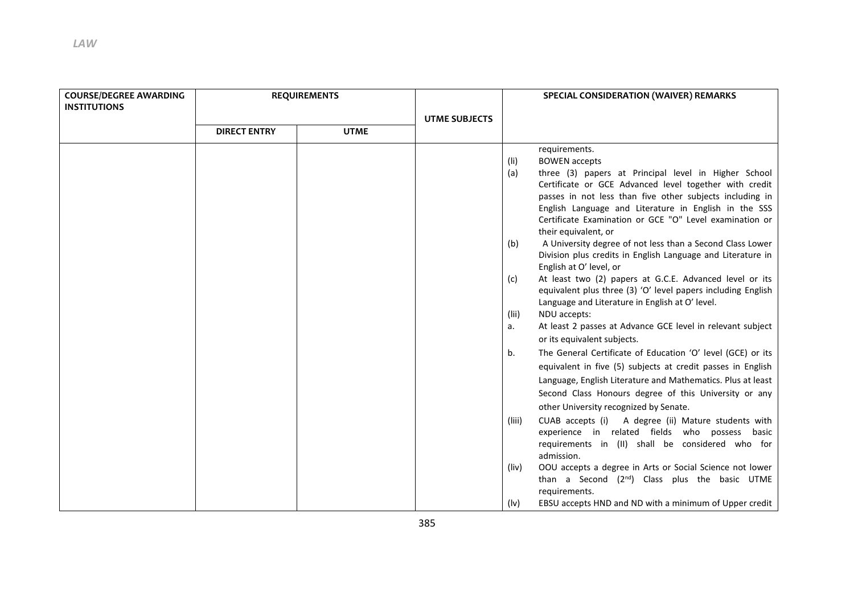| <b>COURSE/DEGREE AWARDING</b><br><b>INSTITUTIONS</b> | <b>REQUIREMENTS</b> |             |                      |                     |                                                                                                                                                                                                                                                                                                                                                                 | SPECIAL CONSIDERATION (WAIVER) REMARKS |  |
|------------------------------------------------------|---------------------|-------------|----------------------|---------------------|-----------------------------------------------------------------------------------------------------------------------------------------------------------------------------------------------------------------------------------------------------------------------------------------------------------------------------------------------------------------|----------------------------------------|--|
|                                                      |                     |             | <b>UTME SUBJECTS</b> |                     |                                                                                                                                                                                                                                                                                                                                                                 |                                        |  |
|                                                      | <b>DIRECT ENTRY</b> | <b>UTME</b> |                      |                     |                                                                                                                                                                                                                                                                                                                                                                 |                                        |  |
|                                                      |                     |             |                      | $($ li)<br>(a)      | requirements.<br><b>BOWEN</b> accepts<br>three (3) papers at Principal level in Higher School<br>Certificate or GCE Advanced level together with credit<br>passes in not less than five other subjects including in<br>English Language and Literature in English in the SSS<br>Certificate Examination or GCE "O" Level examination or<br>their equivalent, or |                                        |  |
|                                                      |                     |             |                      | (b)<br>(c)<br>(Iii) | A University degree of not less than a Second Class Lower<br>Division plus credits in English Language and Literature in<br>English at O' level, or<br>At least two (2) papers at G.C.E. Advanced level or its<br>equivalent plus three (3) 'O' level papers including English<br>Language and Literature in English at O' level.<br>NDU accepts:               |                                        |  |
|                                                      |                     |             |                      | а.                  | At least 2 passes at Advance GCE level in relevant subject<br>or its equivalent subjects.                                                                                                                                                                                                                                                                       |                                        |  |
|                                                      |                     |             |                      | b.                  | The General Certificate of Education 'O' level (GCE) or its<br>equivalent in five (5) subjects at credit passes in English<br>Language, English Literature and Mathematics. Plus at least<br>Second Class Honours degree of this University or any<br>other University recognized by Senate.                                                                    |                                        |  |
|                                                      |                     |             |                      | (liii)              | CUAB accepts (i)<br>A degree (ii) Mature students with<br>experience in related fields who possess basic<br>requirements in (II) shall be considered who for<br>admission.                                                                                                                                                                                      |                                        |  |
|                                                      |                     |             |                      | (liv)               | OOU accepts a degree in Arts or Social Science not lower<br>than a Second $(2^{nd})$ Class plus the basic UTME<br>requirements.                                                                                                                                                                                                                                 |                                        |  |
|                                                      |                     |             |                      | $($ lv $)$          | EBSU accepts HND and ND with a minimum of Upper credit                                                                                                                                                                                                                                                                                                          |                                        |  |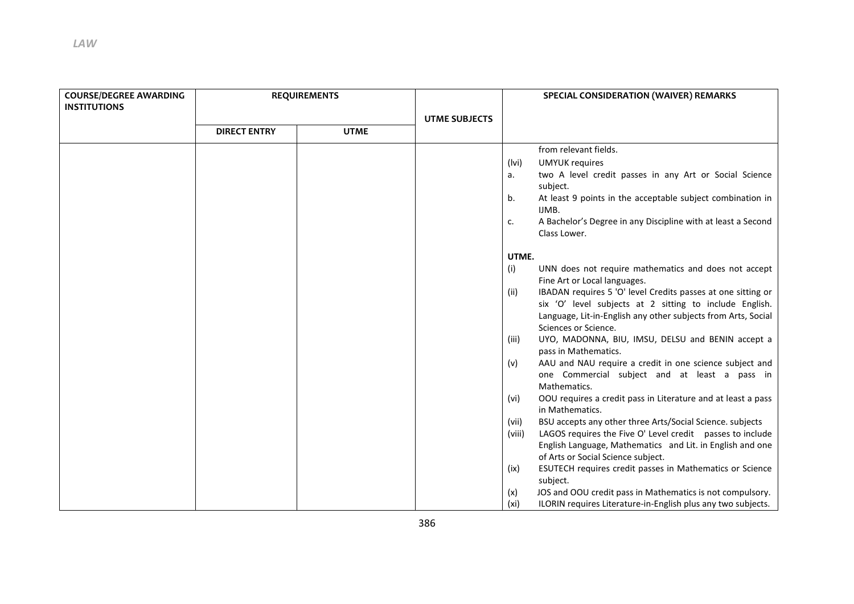| <b>COURSE/DEGREE AWARDING</b> | <b>REQUIREMENTS</b> |             |                      | SPECIAL CONSIDERATION (WAIVER) REMARKS |                                                                                                                                                                                          |
|-------------------------------|---------------------|-------------|----------------------|----------------------------------------|------------------------------------------------------------------------------------------------------------------------------------------------------------------------------------------|
| <b>INSTITUTIONS</b>           |                     |             |                      |                                        |                                                                                                                                                                                          |
|                               |                     |             | <b>UTME SUBJECTS</b> |                                        |                                                                                                                                                                                          |
|                               | <b>DIRECT ENTRY</b> | <b>UTME</b> |                      |                                        |                                                                                                                                                                                          |
|                               |                     |             |                      |                                        | from relevant fields.                                                                                                                                                                    |
|                               |                     |             |                      | (lvi)                                  | <b>UMYUK requires</b>                                                                                                                                                                    |
|                               |                     |             |                      | а.                                     | two A level credit passes in any Art or Social Science<br>subject.                                                                                                                       |
|                               |                     |             |                      | b.                                     | At least 9 points in the acceptable subject combination in<br>IJMB.                                                                                                                      |
|                               |                     |             |                      | c.                                     | A Bachelor's Degree in any Discipline with at least a Second<br>Class Lower.                                                                                                             |
|                               |                     |             |                      | UTME.                                  |                                                                                                                                                                                          |
|                               |                     |             |                      | (i)                                    | UNN does not require mathematics and does not accept                                                                                                                                     |
|                               |                     |             |                      |                                        | Fine Art or Local languages.                                                                                                                                                             |
|                               |                     |             |                      | (ii)                                   | IBADAN requires 5 'O' level Credits passes at one sitting or<br>six 'O' level subjects at 2 sitting to include English.<br>Language, Lit-in-English any other subjects from Arts, Social |
|                               |                     |             |                      | (iii)                                  | Sciences or Science.<br>UYO, MADONNA, BIU, IMSU, DELSU and BENIN accept a                                                                                                                |
|                               |                     |             |                      |                                        | pass in Mathematics.                                                                                                                                                                     |
|                               |                     |             |                      | (v)                                    | AAU and NAU require a credit in one science subject and<br>one Commercial subject and at least a pass in<br>Mathematics.                                                                 |
|                               |                     |             |                      | (vi)                                   | OOU requires a credit pass in Literature and at least a pass<br>in Mathematics.                                                                                                          |
|                               |                     |             |                      | (vii)                                  | BSU accepts any other three Arts/Social Science. subjects                                                                                                                                |
|                               |                     |             |                      | (viii)                                 | LAGOS requires the Five O' Level credit passes to include                                                                                                                                |
|                               |                     |             |                      |                                        | English Language, Mathematics and Lit. in English and one                                                                                                                                |
|                               |                     |             |                      |                                        | of Arts or Social Science subject.                                                                                                                                                       |
|                               |                     |             |                      | (ix)                                   | ESUTECH requires credit passes in Mathematics or Science<br>subject.                                                                                                                     |
|                               |                     |             |                      | (x)                                    | JOS and OOU credit pass in Mathematics is not compulsory.                                                                                                                                |
|                               |                     |             |                      | (xi)                                   | ILORIN requires Literature-in-English plus any two subjects.                                                                                                                             |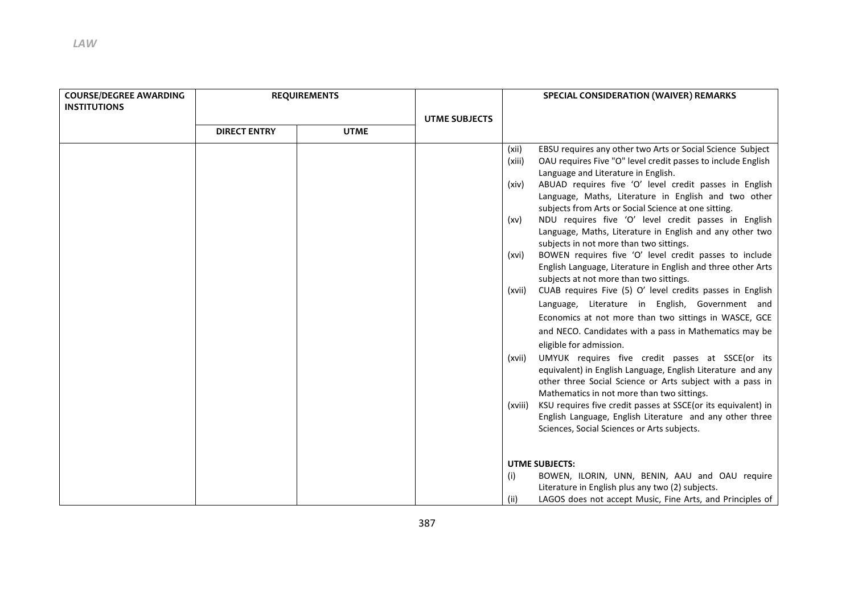| <b>COURSE/DEGREE AWARDING</b><br><b>INSTITUTIONS</b> | <b>REQUIREMENTS</b> |             |                      | SPECIAL CONSIDERATION (WAIVER) REMARKS                                   |                                                                                                                                                                                                                                                                                                                                                                                                                                                                                                                                                                                                                                                                                                                                                                                                                                                                                                                                                                                                                                                                                                                                                                                                                                                                                                                                                         |  |
|------------------------------------------------------|---------------------|-------------|----------------------|--------------------------------------------------------------------------|---------------------------------------------------------------------------------------------------------------------------------------------------------------------------------------------------------------------------------------------------------------------------------------------------------------------------------------------------------------------------------------------------------------------------------------------------------------------------------------------------------------------------------------------------------------------------------------------------------------------------------------------------------------------------------------------------------------------------------------------------------------------------------------------------------------------------------------------------------------------------------------------------------------------------------------------------------------------------------------------------------------------------------------------------------------------------------------------------------------------------------------------------------------------------------------------------------------------------------------------------------------------------------------------------------------------------------------------------------|--|
|                                                      |                     |             | <b>UTME SUBJECTS</b> |                                                                          |                                                                                                                                                                                                                                                                                                                                                                                                                                                                                                                                                                                                                                                                                                                                                                                                                                                                                                                                                                                                                                                                                                                                                                                                                                                                                                                                                         |  |
|                                                      | <b>DIRECT ENTRY</b> | <b>UTME</b> |                      |                                                                          |                                                                                                                                                                                                                                                                                                                                                                                                                                                                                                                                                                                                                                                                                                                                                                                                                                                                                                                                                                                                                                                                                                                                                                                                                                                                                                                                                         |  |
|                                                      |                     |             |                      | (xii)<br>(xiii)<br>(xiv)<br>(xv)<br>(xvi)<br>(xvii)<br>(xvii)<br>(xviii) | EBSU requires any other two Arts or Social Science Subject<br>OAU requires Five "O" level credit passes to include English<br>Language and Literature in English.<br>ABUAD requires five 'O' level credit passes in English<br>Language, Maths, Literature in English and two other<br>subjects from Arts or Social Science at one sitting.<br>NDU requires five 'O' level credit passes in English<br>Language, Maths, Literature in English and any other two<br>subjects in not more than two sittings.<br>BOWEN requires five 'O' level credit passes to include<br>English Language, Literature in English and three other Arts<br>subjects at not more than two sittings.<br>CUAB requires Five (5) O' level credits passes in English<br>Language, Literature in English, Government and<br>Economics at not more than two sittings in WASCE, GCE<br>and NECO. Candidates with a pass in Mathematics may be<br>eligible for admission.<br>UMYUK requires five credit passes at SSCE(or its<br>equivalent) in English Language, English Literature and any<br>other three Social Science or Arts subject with a pass in<br>Mathematics in not more than two sittings.<br>KSU requires five credit passes at SSCE(or its equivalent) in<br>English Language, English Literature and any other three<br>Sciences, Social Sciences or Arts subjects. |  |
|                                                      |                     |             |                      | (i)<br>(ii)                                                              | <b>UTME SUBJECTS:</b><br>BOWEN, ILORIN, UNN, BENIN, AAU and OAU require<br>Literature in English plus any two (2) subjects.<br>LAGOS does not accept Music, Fine Arts, and Principles of                                                                                                                                                                                                                                                                                                                                                                                                                                                                                                                                                                                                                                                                                                                                                                                                                                                                                                                                                                                                                                                                                                                                                                |  |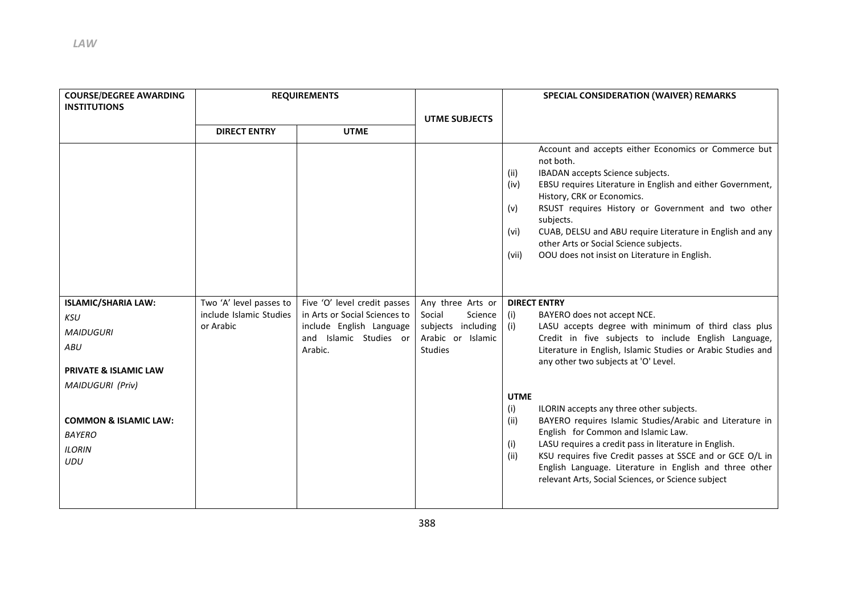| <b>COURSE/DEGREE AWARDING</b><br><b>INSTITUTIONS</b>                                                                                                                                                     | <b>REQUIREMENTS</b>                                             |                                                                                                                                | <b>UTME SUBJECTS</b>                                                                                      | <b>SPECIAL CONSIDERATION (WAIVER) REMARKS</b>                                                                                                                                                                                                                                                                                                                                                                                                                                                                                                                                                                                                                                                                                                                                                                                                                                                                                                                                                                                                                                                                                                                                                |  |
|----------------------------------------------------------------------------------------------------------------------------------------------------------------------------------------------------------|-----------------------------------------------------------------|--------------------------------------------------------------------------------------------------------------------------------|-----------------------------------------------------------------------------------------------------------|----------------------------------------------------------------------------------------------------------------------------------------------------------------------------------------------------------------------------------------------------------------------------------------------------------------------------------------------------------------------------------------------------------------------------------------------------------------------------------------------------------------------------------------------------------------------------------------------------------------------------------------------------------------------------------------------------------------------------------------------------------------------------------------------------------------------------------------------------------------------------------------------------------------------------------------------------------------------------------------------------------------------------------------------------------------------------------------------------------------------------------------------------------------------------------------------|--|
|                                                                                                                                                                                                          | <b>DIRECT ENTRY</b>                                             | <b>UTME</b>                                                                                                                    |                                                                                                           |                                                                                                                                                                                                                                                                                                                                                                                                                                                                                                                                                                                                                                                                                                                                                                                                                                                                                                                                                                                                                                                                                                                                                                                              |  |
| <b>ISLAMIC/SHARIA LAW:</b><br>KSU<br><b>MAIDUGURI</b><br>ABU<br><b>PRIVATE &amp; ISLAMIC LAW</b><br><b>MAIDUGURI (Priv)</b><br><b>COMMON &amp; ISLAMIC LAW:</b><br><b>BAYERO</b><br><b>ILORIN</b><br>UDU | Two 'A' level passes to<br>include Islamic Studies<br>or Arabic | Five 'O' level credit passes<br>in Arts or Social Sciences to<br>include English Language<br>and Islamic Studies or<br>Arabic. | Any three Arts or<br>Social<br>Science  <br>subjects including (i)<br>Arabic or Islamic<br><b>Studies</b> | Account and accepts either Economics or Commerce but<br>not both.<br>(ii)<br>IBADAN accepts Science subjects.<br>EBSU requires Literature in English and either Government,<br>(iv)<br>History, CRK or Economics.<br>RSUST requires History or Government and two other<br>(v)<br>subjects.<br>CUAB, DELSU and ABU require Literature in English and any<br>(vi)<br>other Arts or Social Science subjects.<br>OOU does not insist on Literature in English.<br>(vii)<br><b>DIRECT ENTRY</b><br>BAYERO does not accept NCE.<br>(i)<br>LASU accepts degree with minimum of third class plus<br>Credit in five subjects to include English Language,<br>Literature in English, Islamic Studies or Arabic Studies and<br>any other two subjects at 'O' Level.<br><b>UTME</b><br>(i)<br>ILORIN accepts any three other subjects.<br>(ii)<br>BAYERO requires Islamic Studies/Arabic and Literature in<br>English for Common and Islamic Law.<br>LASU requires a credit pass in literature in English.<br>(i)<br>(ii)<br>KSU requires five Credit passes at SSCE and or GCE O/L in<br>English Language. Literature in English and three other<br>relevant Arts, Social Sciences, or Science subject |  |